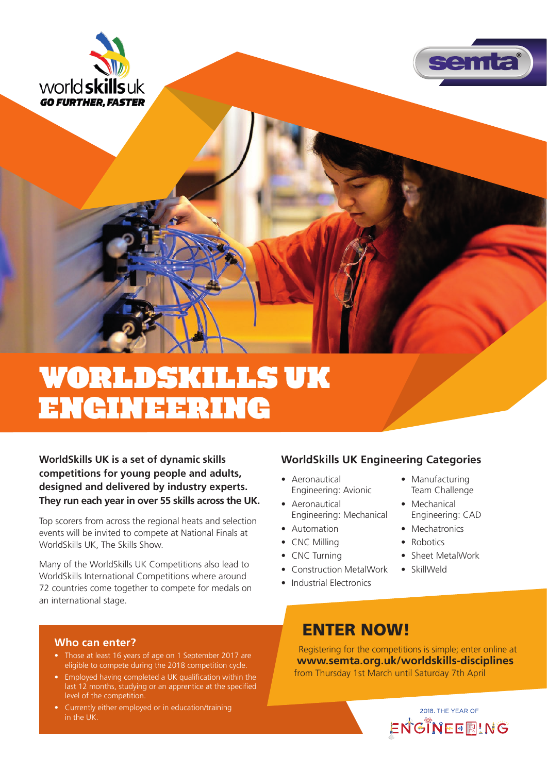



# WorldSkills UK Engineering

**WorldSkills UK is a set of dynamic skills competitions for young people and adults, designed and delivered by industry experts. They run each year in over 55 skills across the UK.**

Top scorers from across the regional heats and selection events will be invited to compete at National Finals at WorldSkills UK, The Skills Show.

Many of the WorldSkills UK Competitions also lead to WorldSkills International Competitions where around 72 countries come together to compete for medals on an international stage.

## **WorldSkills UK Engineering Categories**

- Aeronautical Engineering: Avionic
- Aeronautical Engineering: Mechanical
- Automation
- CNC Milling
- CNC Turning
- Construction MetalWork
- Industrial Electronics
- Manufacturing Team Challenge
- Mechanical Engineering: CAD
- Mechatronics
- Robotics
- Sheet MetalWork
- SkillWeld

#### **Who can enter?**

- Those at least 16 years of age on 1 September 2017 are eligible to compete during the 2018 competition cycle.
- Employed having completed a UK qualification within the last 12 months, studying or an apprentice at the specified level of the competition.
- Currently either employed or in education/training in the UK.

## ENTER NOW!

Registering for the competitions is simple; enter online at **www.semta.org.uk/worldskills-disciplines** from Thursday 1st March until Saturday 7th April